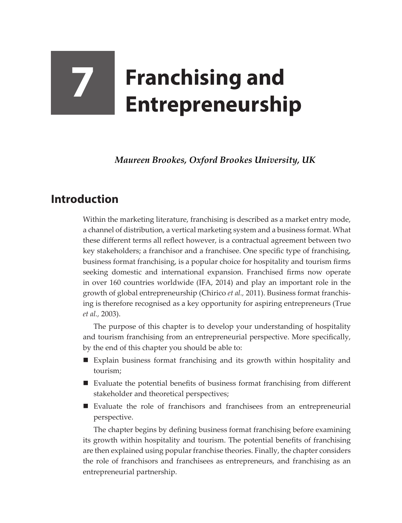# **7 Franchising and Entrepreneurship**

*Maureen Brookes, Oxford Brookes University, UK*

## **Introduction**

Within the marketing literature, franchising is described as a market entry mode, a channel of distribution, a vertical marketing system and a business format. What these different terms all reflect however, is a contractual agreement between two key stakeholders; a franchisor and a franchisee. One specific type of franchising, business format franchising, is a popular choice for hospitality and tourism firms seeking domestic and international expansion. Franchised firms now operate in over 160 countries worldwide (IFA, 2014) and play an important role in the growth of global entrepreneurship (Chirico *et al.,* 2011). Business format franchising is therefore recognised as a key opportunity for aspiring entrepreneurs (True *et al.,* 2003).

The purpose of this chapter is to develop your understanding of hospitality and tourism franchising from an entrepreneurial perspective. More specifically, by the end of this chapter you should be able to:

- Explain business format franchising and its growth within hospitality and tourism;
- Evaluate the potential benefits of business format franchising from different stakeholder and theoretical perspectives;
- Evaluate the role of franchisors and franchisees from an entrepreneurial perspective.

The chapter begins by defining business format franchising before examining its growth within hospitality and tourism. The potential benefits of franchising are then explained using popular franchise theories. Finally, the chapter considers the role of franchisors and franchisees as entrepreneurs, and franchising as an entrepreneurial partnership.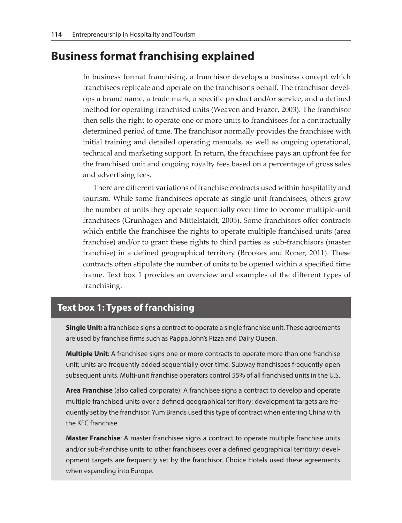### **Business format franchising explained**

In business format franchising, a franchisor develops a business concept which franchisees replicate and operate on the franchisor's behalf. The franchisor develops a brand name, a trade mark, a specific product and/or service, and a defined method for operating franchised units (Weaven and Frazer, 2003). The franchisor then sells the right to operate one or more units to franchisees for a contractually determined period of time. The franchisor normally provides the franchisee with initial training and detailed operating manuals, as well as ongoing operational, technical and marketing support. In return, the franchisee pays an upfront fee for the franchised unit and ongoing royalty fees based on a percentage of gross sales and advertising fees.

There are different variations of franchise contracts used within hospitality and tourism. While some franchisees operate as single-unit franchisees, others grow the number of units they operate sequentially over time to become multiple-unit franchisees (Grunhagen and Mittelstaidt, 2005). Some franchisors offer contracts which entitle the franchisee the rights to operate multiple franchised units (area franchise) and/or to grant these rights to third parties as sub-franchisors (master franchise) in a defined geographical territory (Brookes and Roper, 2011). These contracts often stipulate the number of units to be opened within a specified time frame. Text box 1 provides an overview and examples of the different types of franchising.

#### **Text box 1: Types of franchising**

**Single Unit:** a franchisee signs a contract to operate a single franchise unit. These agreements are used by franchise firms such as Pappa John's Pizza and Dairy Queen.

**Multiple Unit**: A franchisee signs one or more contracts to operate more than one franchise unit; units are frequently added sequentially over time. Subway franchisees frequently open subsequent units. Multi-unit franchise operators control 55% of all franchised units in the U.S.

**Area Franchise** (also called corporate): A franchisee signs a contract to develop and operate multiple franchised units over a defined geographical territory; development targets are frequently set by the franchisor. Yum Brands used this type of contract when entering China with the KFC franchise.

**Master Franchise**: A master franchisee signs a contract to operate multiple franchise units and/or sub-franchise units to other franchisees over a defined geographical territory; development targets are frequently set by the franchisor. Choice Hotels used these agreements when expanding into Europe.